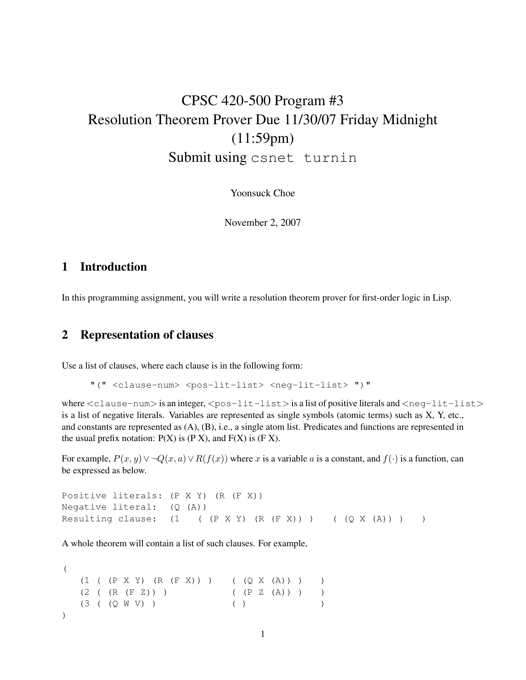# CPSC 420-500 Program #3 Resolution Theorem Prover Due 11/30/07 Friday Midnight (11:59pm) Submit using csnet turnin

Yoonsuck Choe

November 2, 2007

### 1 Introduction

In this programming assignment, you will write a resolution theorem prover for first-order logic in Lisp.

## 2 Representation of clauses

Use a list of clauses, where each clause is in the following form:

"(" <clause-num> <pos-lit-list> <neg-lit-list> ")"

where  $\langle$  clause-num $\rangle$  is an integer,  $\langle$  pos-lit-list $\rangle$  is a list of positive literals and  $\langle$  neg-lit-list $\rangle$ is a list of negative literals. Variables are represented as single symbols (atomic terms) such as X, Y, etc., and constants are represented as (A), (B), i.e., a single atom list. Predicates and functions are represented in the usual prefix notation:  $P(X)$  is  $(P X)$ , and  $F(X)$  is  $(F X)$ .

For example,  $P(x, y) \vee \neg Q(x, a) \vee R(f(x))$  where x is a variable a is a constant, and  $f(\cdot)$  is a function, can be expressed as below.

```
Positive literals: (P X Y) (R (F X))
Negative literal: (Q (A))
Resulting clause: (1 \t(P X Y) (R (F X)) ) (Q X (A)) )
```
A whole theorem will contain a list of such clauses. For example,

(  $(1 ( (P X Y) (R (F X))) ) ( (Q X (A))) )$  $(2 ((R (F Z)))$  ( $(P Z (A)) )$  $(3 (Q W V))$  ( ) )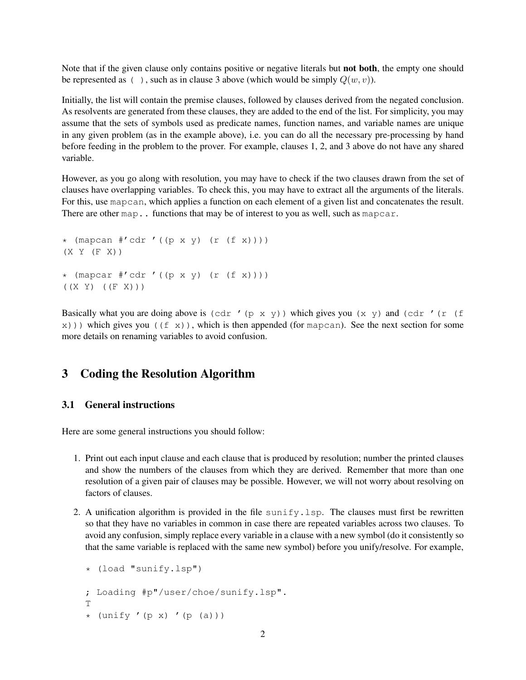Note that if the given clause only contains positive or negative literals but not both, the empty one should be represented as ( ), such as in clause 3 above (which would be simply  $Q(w, v)$ ).

Initially, the list will contain the premise clauses, followed by clauses derived from the negated conclusion. As resolvents are generated from these clauses, they are added to the end of the list. For simplicity, you may assume that the sets of symbols used as predicate names, function names, and variable names are unique in any given problem (as in the example above), i.e. you can do all the necessary pre-processing by hand before feeding in the problem to the prover. For example, clauses 1, 2, and 3 above do not have any shared variable.

However, as you go along with resolution, you may have to check if the two clauses drawn from the set of clauses have overlapping variables. To check this, you may have to extract all the arguments of the literals. For this, use mapcan, which applies a function on each element of a given list and concatenates the result. There are other map.. functions that may be of interest to you as well, such as mapcar.

```
* (mapcan #'cdr '((p x y) (r (f x))))
(X Y (F X))
* (mapcar #'cdr '((p x y) (r (f x))))
((X Y) ((F X)))
```
Basically what you are doing above is  $(\text{cdr } ' (p x y))$  which gives you  $(x y)$  and  $(\text{cdr } ' (r (f x)))$  $x)$ )) which gives you ((f x)), which is then appended (for mapcan). See the next section for some more details on renaming variables to avoid confusion.

# 3 Coding the Resolution Algorithm

#### 3.1 General instructions

Here are some general instructions you should follow:

- 1. Print out each input clause and each clause that is produced by resolution; number the printed clauses and show the numbers of the clauses from which they are derived. Remember that more than one resolution of a given pair of clauses may be possible. However, we will not worry about resolving on factors of clauses.
- 2. A unification algorithm is provided in the file sunify. Lsp. The clauses must first be rewritten so that they have no variables in common in case there are repeated variables across two clauses. To avoid any confusion, simply replace every variable in a clause with a new symbol (do it consistently so that the same variable is replaced with the same new symbol) before you unify/resolve. For example,

```
* (load "sunify.lsp")
; Loading #p"/user/choe/sunify.lsp".
T
* (unify '(p x) '(p (a)))
```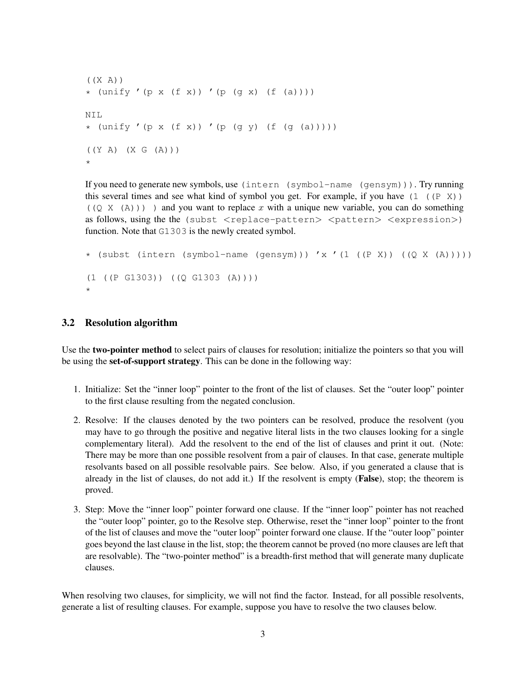```
((X A))* (unify '(p x (f x)) '(p (g x) (f (a))))
NIL
* (unify '(p x (f x)) '(p (g y) (f (g (a)))))
((Y A) (X G (A)))
*
```
If you need to generate new symbols, use (intern (symbol-name (gensym))). Try running this several times and see what kind of symbol you get. For example, if you have  $(1 \ (P \ X))$  $((Q X (A)))$  ) and you want to replace x with a unique new variable, you can do something as follows, using the the (subst  $\langle$  replace-pattern $\rangle$   $\langle$  pattern $\rangle$   $\langle$  expression $\rangle$ ) function. Note that G1303 is the newly created symbol.

```
* (subst (intern (symbol-name (gensym))) 'x '(1 ((P X)) ((Q X (A)))))
(1 ((P G1303)) ((Q G1303 (A))))
*
```
### 3.2 Resolution algorithm

Use the two-pointer method to select pairs of clauses for resolution; initialize the pointers so that you will be using the set-of-support strategy. This can be done in the following way:

- 1. Initialize: Set the "inner loop" pointer to the front of the list of clauses. Set the "outer loop" pointer to the first clause resulting from the negated conclusion.
- 2. Resolve: If the clauses denoted by the two pointers can be resolved, produce the resolvent (you may have to go through the positive and negative literal lists in the two clauses looking for a single complementary literal). Add the resolvent to the end of the list of clauses and print it out. (Note: There may be more than one possible resolvent from a pair of clauses. In that case, generate multiple resolvants based on all possible resolvable pairs. See below. Also, if you generated a clause that is already in the list of clauses, do not add it.) If the resolvent is empty (False), stop; the theorem is proved.
- 3. Step: Move the "inner loop" pointer forward one clause. If the "inner loop" pointer has not reached the "outer loop" pointer, go to the Resolve step. Otherwise, reset the "inner loop" pointer to the front of the list of clauses and move the "outer loop" pointer forward one clause. If the "outer loop" pointer goes beyond the last clause in the list, stop; the theorem cannot be proved (no more clauses are left that are resolvable). The "two-pointer method" is a breadth-first method that will generate many duplicate clauses.

When resolving two clauses, for simplicity, we will not find the factor. Instead, for all possible resolvents, generate a list of resulting clauses. For example, suppose you have to resolve the two clauses below.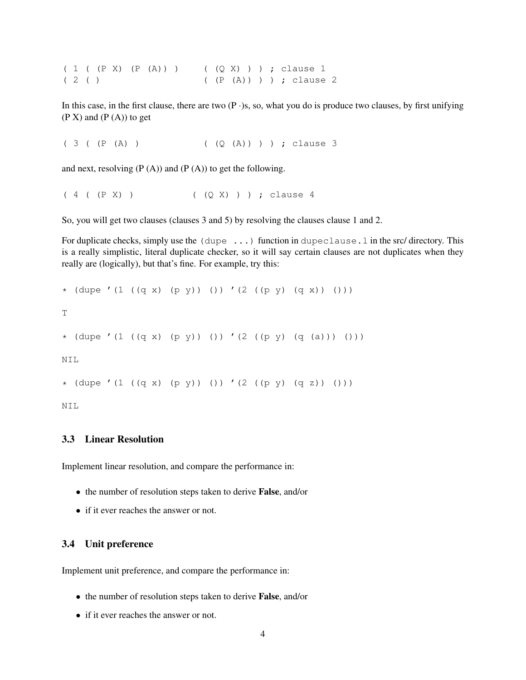( 1 ( (P X) (P (A)) ) ( (Q X) ) ) ; clause 1 ( 2 ( ) ( (P (A)) ) ) ; clause 2

In this case, in the first clause, there are two  $(P \cdot)$ s, so, what you do is produce two clauses, by first unifying  $(P X)$  and  $(P (A))$  to get

( 3 ( (P (A) ) ( (Q (A)) ) ) ; clause 3

and next, resolving  $(P(A))$  and  $(P(A))$  to get the following.

( 4 ( (P X) ) ( (Q X) ) ) ; clause 4

So, you will get two clauses (clauses 3 and 5) by resolving the clauses clause 1 and 2.

For duplicate checks, simply use the (dupe ...) function in dupeclause.l in the src/ directory. This is a really simplistic, literal duplicate checker, so it will say certain clauses are not duplicates when they really are (logically), but that's fine. For example, try this:

```
* (dupe '(1 ((q x) (p y)) ()) '(2 ((p y) (q x)) ()))
T
* (dupe '(1 ((q x) (p y)) ()) '(2 ((p y) (q (a))) ()))
NIL
* (dupe '(1 ((q x) (p y)) ()) '(2 ((p y) (q z)) ()))
```
NIL

#### 3.3 Linear Resolution

Implement linear resolution, and compare the performance in:

- the number of resolution steps taken to derive **False**, and/or
- if it ever reaches the answer or not.

#### 3.4 Unit preference

Implement unit preference, and compare the performance in:

- the number of resolution steps taken to derive False, and/or
- if it ever reaches the answer or not.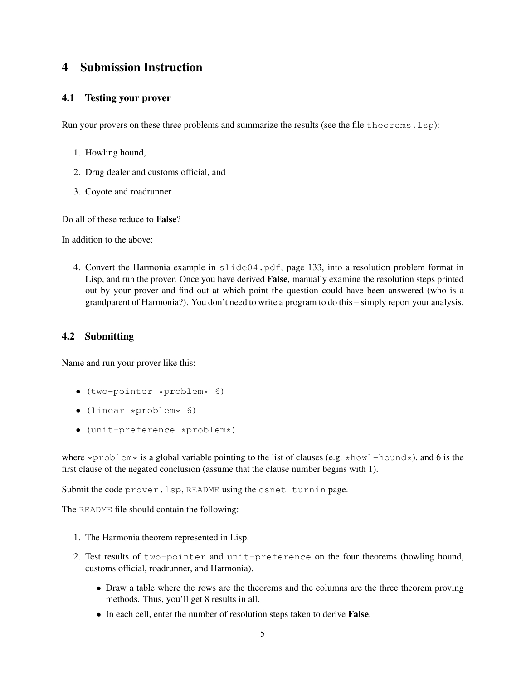# 4 Submission Instruction

### 4.1 Testing your prover

Run your provers on these three problems and summarize the results (see the file theorems.lsp):

- 1. Howling hound,
- 2. Drug dealer and customs official, and
- 3. Coyote and roadrunner.

Do all of these reduce to False?

In addition to the above:

4. Convert the Harmonia example in slide04.pdf, page 133, into a resolution problem format in Lisp, and run the prover. Once you have derived False, manually examine the resolution steps printed out by your prover and find out at which point the question could have been answered (who is a grandparent of Harmonia?). You don't need to write a program to do this – simply report your analysis.

### 4.2 Submitting

Name and run your prover like this:

- (two-pointer \*problem\* 6)
- $\bullet$  (linear \*problem\* 6)
- (unit-preference \*problem\*)

where  $\star$ problem $\star$  is a global variable pointing to the list of clauses (e.g.  $\star$ howl-hound $\star$ ), and 6 is the first clause of the negated conclusion (assume that the clause number begins with 1).

Submit the code prover.lsp, README using the csnet turnin page.

The README file should contain the following:

- 1. The Harmonia theorem represented in Lisp.
- 2. Test results of two-pointer and unit-preference on the four theorems (howling hound, customs official, roadrunner, and Harmonia).
	- Draw a table where the rows are the theorems and the columns are the three theorem proving methods. Thus, you'll get 8 results in all.
	- In each cell, enter the number of resolution steps taken to derive **False**.